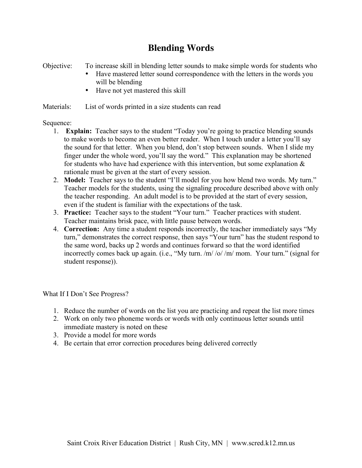## **Blending Words**

Objective: To increase skill in blending letter sounds to make simple words for students who

- Have mastered letter sound correspondence with the letters in the words you will be blending
- Have not yet mastered this skill

Materials: List of words printed in a size students can read

## Sequence:

- 1. **Explain:** Teacher says to the student "Today you're going to practice blending sounds to make words to become an even better reader. When I touch under a letter you'll say the sound for that letter. When you blend, don't stop between sounds. When I slide my finger under the whole word, you'll say the word." This explanation may be shortened for students who have had experience with this intervention, but some explanation  $\&$ rationale must be given at the start of every session.
- 2. **Model:** Teacher says to the student "I'll model for you how blend two words. My turn." Teacher models for the students, using the signaling procedure described above with only the teacher responding. An adult model is to be provided at the start of every session, even if the student is familiar with the expectations of the task.
- 3. **Practice:** Teacher says to the student "Your turn." Teacher practices with student. Teacher maintains brisk pace, with little pause between words.
- 4. **Correction:** Any time a student responds incorrectly, the teacher immediately says "My turn," demonstrates the correct response, then says "Your turn" has the student respond to the same word, backs up 2 words and continues forward so that the word identified incorrectly comes back up again. (i.e., "My turn. /m/ /o/ /m/ mom. Your turn." (signal for student response)).

What If I Don't See Progress?

- 1. Reduce the number of words on the list you are practicing and repeat the list more times
- 2. Work on only two phoneme words or words with only continuous letter sounds until immediate mastery is noted on these
- 3. Provide a model for more words
- 4. Be certain that error correction procedures being delivered correctly